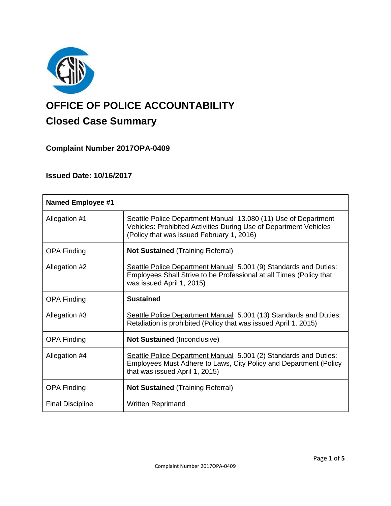

# **OFFICE OF POLICE ACCOUNTABILITY**

## **Closed Case Summary**

**Complaint Number 2017OPA-0409**

### **Issued Date: 10/16/2017**

| <b>Named Employee #1</b> |                                                                                                                                                                                  |
|--------------------------|----------------------------------------------------------------------------------------------------------------------------------------------------------------------------------|
| Allegation #1            | Seattle Police Department Manual 13.080 (11) Use of Department<br>Vehicles: Prohibited Activities During Use of Department Vehicles<br>(Policy that was issued February 1, 2016) |
| <b>OPA Finding</b>       | <b>Not Sustained (Training Referral)</b>                                                                                                                                         |
| Allegation #2            | Seattle Police Department Manual 5.001 (9) Standards and Duties:<br>Employees Shall Strive to be Professional at all Times (Policy that<br>was issued April 1, 2015)             |
| <b>OPA Finding</b>       | <b>Sustained</b>                                                                                                                                                                 |
| Allegation #3            | Seattle Police Department Manual 5.001 (13) Standards and Duties:<br>Retaliation is prohibited (Policy that was issued April 1, 2015)                                            |
| <b>OPA Finding</b>       | <b>Not Sustained (Inconclusive)</b>                                                                                                                                              |
| Allegation #4            | Seattle Police Department Manual 5.001 (2) Standards and Duties:<br>Employees Must Adhere to Laws, City Policy and Department (Policy<br>that was issued April 1, 2015)          |
| <b>OPA Finding</b>       | <b>Not Sustained (Training Referral)</b>                                                                                                                                         |
| <b>Final Discipline</b>  | <b>Written Reprimand</b>                                                                                                                                                         |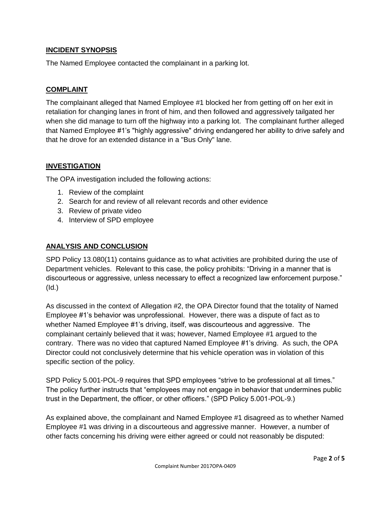#### **INCIDENT SYNOPSIS**

The Named Employee contacted the complainant in a parking lot.

#### **COMPLAINT**

The complainant alleged that Named Employee #1 blocked her from getting off on her exit in retaliation for changing lanes in front of him, and then followed and aggressively tailgated her when she did manage to turn off the highway into a parking lot. The complainant further alleged that Named Employee #1's "highly aggressive" driving endangered her ability to drive safely and that he drove for an extended distance in a "Bus Only" lane.

#### **INVESTIGATION**

The OPA investigation included the following actions:

- 1. Review of the complaint
- 2. Search for and review of all relevant records and other evidence
- 3. Review of private video
- 4. Interview of SPD employee

#### **ANALYSIS AND CONCLUSION**

SPD Policy 13.080(11) contains guidance as to what activities are prohibited during the use of Department vehicles. Relevant to this case, the policy prohibits: "Driving in a manner that is discourteous or aggressive, unless necessary to effect a recognized law enforcement purpose." (Id.)

As discussed in the context of Allegation #2, the OPA Director found that the totality of Named Employee #1's behavior was unprofessional. However, there was a dispute of fact as to whether Named Employee #1's driving, itself, was discourteous and aggressive. The complainant certainly believed that it was; however, Named Employee #1 argued to the contrary. There was no video that captured Named Employee #1's driving. As such, the OPA Director could not conclusively determine that his vehicle operation was in violation of this specific section of the policy.

SPD Policy 5.001-POL-9 requires that SPD employees "strive to be professional at all times." The policy further instructs that "employees may not engage in behavior that undermines public trust in the Department, the officer, or other officers." (SPD Policy 5.001-POL-9.)

As explained above, the complainant and Named Employee #1 disagreed as to whether Named Employee #1 was driving in a discourteous and aggressive manner. However, a number of other facts concerning his driving were either agreed or could not reasonably be disputed: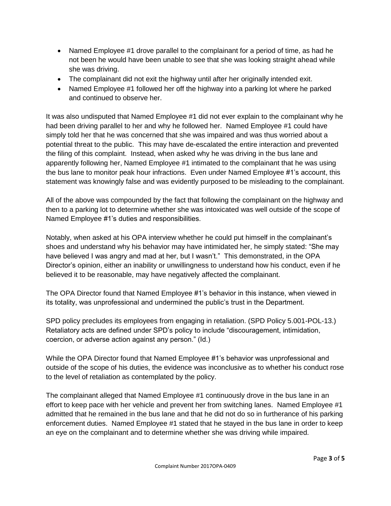- Named Employee #1 drove parallel to the complainant for a period of time, as had he not been he would have been unable to see that she was looking straight ahead while she was driving.
- The complainant did not exit the highway until after her originally intended exit.
- Named Employee #1 followed her off the highway into a parking lot where he parked and continued to observe her.

It was also undisputed that Named Employee #1 did not ever explain to the complainant why he had been driving parallel to her and why he followed her. Named Employee #1 could have simply told her that he was concerned that she was impaired and was thus worried about a potential threat to the public. This may have de-escalated the entire interaction and prevented the filing of this complaint. Instead, when asked why he was driving in the bus lane and apparently following her, Named Employee #1 intimated to the complainant that he was using the bus lane to monitor peak hour infractions. Even under Named Employee #1's account, this statement was knowingly false and was evidently purposed to be misleading to the complainant.

All of the above was compounded by the fact that following the complainant on the highway and then to a parking lot to determine whether she was intoxicated was well outside of the scope of Named Employee #1's duties and responsibilities.

Notably, when asked at his OPA interview whether he could put himself in the complainant's shoes and understand why his behavior may have intimidated her, he simply stated: "She may have believed I was angry and mad at her, but I wasn't." This demonstrated, in the OPA Director's opinion, either an inability or unwillingness to understand how his conduct, even if he believed it to be reasonable, may have negatively affected the complainant.

The OPA Director found that Named Employee #1's behavior in this instance, when viewed in its totality, was unprofessional and undermined the public's trust in the Department.

SPD policy precludes its employees from engaging in retaliation. (SPD Policy 5.001-POL-13.) Retaliatory acts are defined under SPD's policy to include "discouragement, intimidation, coercion, or adverse action against any person." (Id.)

While the OPA Director found that Named Employee #1's behavior was unprofessional and outside of the scope of his duties, the evidence was inconclusive as to whether his conduct rose to the level of retaliation as contemplated by the policy.

The complainant alleged that Named Employee #1 continuously drove in the bus lane in an effort to keep pace with her vehicle and prevent her from switching lanes. Named Employee #1 admitted that he remained in the bus lane and that he did not do so in furtherance of his parking enforcement duties. Named Employee #1 stated that he stayed in the bus lane in order to keep an eye on the complainant and to determine whether she was driving while impaired.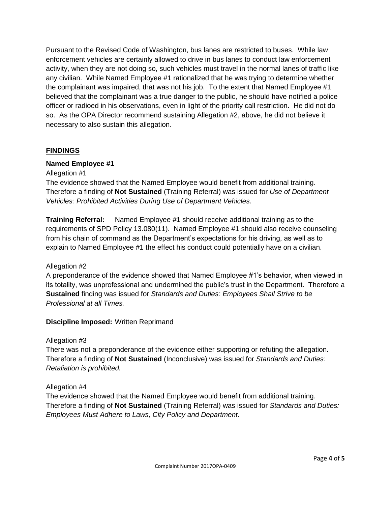Pursuant to the Revised Code of Washington, bus lanes are restricted to buses. While law enforcement vehicles are certainly allowed to drive in bus lanes to conduct law enforcement activity, when they are not doing so, such vehicles must travel in the normal lanes of traffic like any civilian. While Named Employee #1 rationalized that he was trying to determine whether the complainant was impaired, that was not his job. To the extent that Named Employee #1 believed that the complainant was a true danger to the public, he should have notified a police officer or radioed in his observations, even in light of the priority call restriction. He did not do so. As the OPA Director recommend sustaining Allegation #2, above, he did not believe it necessary to also sustain this allegation.

#### **FINDINGS**

#### **Named Employee #1**

Allegation #1

The evidence showed that the Named Employee would benefit from additional training. Therefore a finding of **Not Sustained** (Training Referral) was issued for *Use of Department Vehicles: Prohibited Activities During Use of Department Vehicles.*

**Training Referral:** Named Employee #1 should receive additional training as to the requirements of SPD Policy 13.080(11). Named Employee #1 should also receive counseling from his chain of command as the Department's expectations for his driving, as well as to explain to Named Employee #1 the effect his conduct could potentially have on a civilian.

#### Allegation #2

A preponderance of the evidence showed that Named Employee #1's behavior, when viewed in its totality, was unprofessional and undermined the public's trust in the Department. Therefore a **Sustained** finding was issued for *Standards and Duties: Employees Shall Strive to be Professional at all Times.*

#### **Discipline Imposed:** Written Reprimand

#### Allegation #3

There was not a preponderance of the evidence either supporting or refuting the allegation. Therefore a finding of **Not Sustained** (Inconclusive) was issued for *Standards and Duties: Retaliation is prohibited.*

#### Allegation #4

The evidence showed that the Named Employee would benefit from additional training. Therefore a finding of **Not Sustained** (Training Referral) was issued for *Standards and Duties: Employees Must Adhere to Laws, City Policy and Department.*